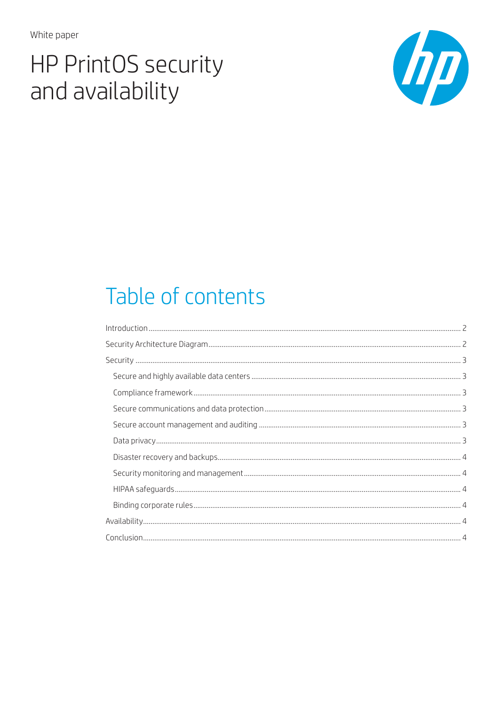White paper

# **HP PrintOS security** and availability



# Table of contents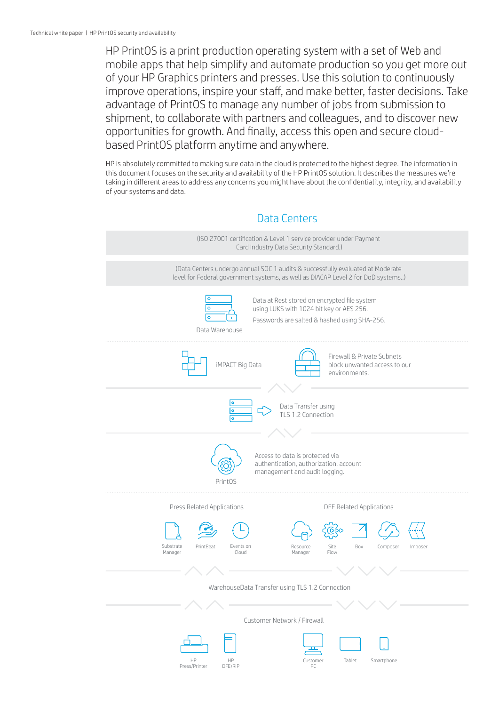HP PrintOS is a print production operating system with a set of Web and mobile apps that help simplify and automate production so you get more out of your HP Graphics printers and presses. Use this solution to continuously improve operations, inspire your staff, and make better, faster decisions. Take advantage of PrintOS to manage any number of jobs from submission to shipment, to collaborate with partners and colleagues, and to discover new opportunities for growth. And finally, access this open and secure cloudbased PrintOS platform anytime and anywhere.

HP is absolutely committed to making sure data in the cloud is protected to the highest degree. The information in this document focuses on the security and availability of the HP PrintOS solution. It describes the measures we're taking in different areas to address any concerns you might have about the confidentiality, integrity, and availability of your systems and data.

# Data Centers

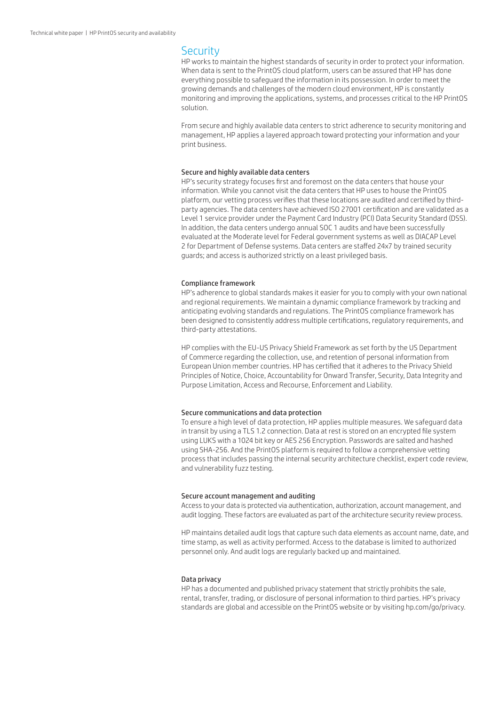### **Security**

HP works to maintain the highest standards of security in order to protect your information. When data is sent to the PrintOS cloud platform, users can be assured that HP has done everything possible to safeguard the information in its possession. In order to meet the growing demands and challenges of the modern cloud environment, HP is constantly monitoring and improving the applications, systems, and processes critical to the HP PrintOS solution.

From secure and highly available data centers to strict adherence to security monitoring and management, HP applies a layered approach toward protecting your information and your print business.

#### Secure and highly available data centers

HP's security strategy focuses first and foremost on the data centers that house your information. While you cannot visit the data centers that HP uses to house the PrintOS platform, our vetting process verifies that these locations are audited and certified by thirdparty agencies. The data centers have achieved ISO 27001 certification and are validated as a Level 1 service provider under the Payment Card Industry (PCI) Data Security Standard (DSS). In addition, the data centers undergo annual SOC 1 audits and have been successfully evaluated at the Moderate level for Federal government systems as well as DIACAP Level 2 for Department of Defense systems. Data centers are staffed 24x7 by trained security guards; and access is authorized strictly on a least privileged basis.

#### Compliance framework

HP's adherence to global standards makes it easier for you to comply with your own national and regional requirements. We maintain a dynamic compliance framework by tracking and anticipating evolving standards and regulations. The PrintOS compliance framework has been designed to consistently address multiple certifications, regulatory requirements, and third-party attestations.

HP complies with the EU-US Privacy Shield Framework as set forth by the US Department of Commerce regarding the collection, use, and retention of personal information from European Union member countries. HP has certified that it adheres to the Privacy Shield Principles of Notice, Choice, Accountability for Onward Transfer, Security, Data Integrity and Purpose Limitation, Access and Recourse, Enforcement and Liability.

#### Secure communications and data protection

To ensure a high level of data protection, HP applies multiple measures. We safeguard data in transit by using a TLS 1.2 connection. Data at rest is stored on an encrypted file system using LUKS with a 1024 bit key or AES 256 Encryption. Passwords are salted and hashed using SHA-256. And the PrintOS platform is required to follow a comprehensive vetting process that includes passing the internal security architecture checklist, expert code review, and vulnerability fuzz testing.

#### Secure account management and auditing

Access to your data is protected via authentication, authorization, account management, and audit logging. These factors are evaluated as part of the architecture security review process.

HP maintains detailed audit logs that capture such data elements as account name, date, and time stamp, as well as activity performed. Access to the database is limited to authorized personnel only. And audit logs are regularly backed up and maintained.

#### Data privacy

HP has a documented and published privacy statement that strictly prohibits the sale, rental, transfer, trading, or disclosure of personal information to third parties. HP's privacy standards are global and accessible on the PrintOS website or by visiting hp.com/go/privacy.